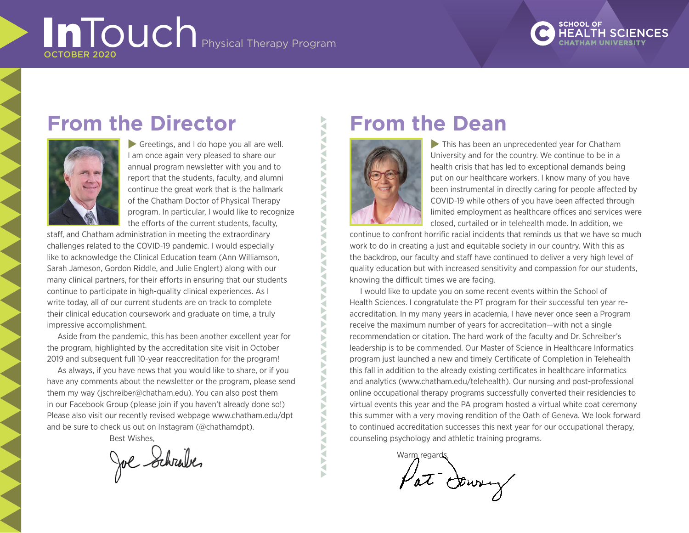# InTouch Physical Therapy Program OCTOBER 2020



# **From the Director**



 $\blacktriangleright$  Greetings, and I do hope you all are well. I am once again very pleased to share our annual program newsletter with you and to report that the students, faculty, and alumni continue the great work that is the hallmark of the Chatham Doctor of Physical Therapy program. In particular, I would like to recognize the efforts of the current students, faculty,

staff, and Chatham administration in meeting the extraordinary challenges related to the COVID-19 pandemic. I would especially like to acknowledge the Clinical Education team (Ann Williamson, Sarah Jameson, Gordon Riddle, and Julie Englert) along with our many clinical partners, for their efforts in ensuring that our students continue to participate in high-quality clinical experiences. As I write today, all of our current students are on track to complete their clinical education coursework and graduate on time, a truly impressive accomplishment.

Aside from the pandemic, this has been another excellent year for the program, highlighted by the accreditation site visit in October 2019 and subsequent full 10-year reaccreditation for the program!

As always, if you have news that you would like to share, or if you have any comments about the newsletter or the program, please send them my way (jschreiber@chatham.edu). You can also post them in our Facebook Group (please join if you haven't already done so!) Please also visit our recently revised webpage [www.chatham.edu/d](https://www.chatham.edu/academics/graduate/physical-therapy/index.html)pt and be sure to check us out on Instagram (@chathamdpt).

Best Wishes,

Joe Schrabe.

# **From the Dean**



ANAVANAVAV

Б ₹

**NANY** 

Ę Ę Š ₹ Ь ₹ Þ ₹ Þ ₹ Þ ₹ **ANA** ₹ Ď **XVX** Ę F

**NANA** 

Б

 $\tilde{\mathbf{S}}$ 

 $\blacktriangleright$  This has been an unprecedented year for Chatham University and for the country. We continue to be in a health crisis that has led to exceptional demands being put on our healthcare workers. I know many of you have been instrumental in directly caring for people affected by COVID-19 while others of you have been affected through limited employment as healthcare offices and services were closed, curtailed or in telehealth mode. In addition, we

continue to confront horrific racial incidents that reminds us that we have so much work to do in creating a just and equitable society in our country. With this as the backdrop, our faculty and staff have continued to deliver a very high level of quality education but with increased sensitivity and compassion for our students, knowing the difficult times we are facing.

I would like to update you on some recent events within the School of Health Sciences. I congratulate the PT program for their successful ten year reaccreditation. In my many years in academia, I have never once seen a Program receive the maximum number of years for accreditation—with not a single recommendation or citation. The hard work of the faculty and Dr. Schreiber's leadership is to be commended. Our Master of Science in Healthcare Informatics program just launched a new and timely Certificate of Completion in Telehealth this fall in addition to the already existing certificates in healthcare informatics and analytics ([www.chatham.edu/telehealth](https://www.chatham.edu/academics/graduate/telehealth-certificate/index.html)). Our nursing and post-professional online occupational therapy programs successfully converted their residencies to virtual events this year and the PA program hosted a virtual white coat ceremony this summer with a very moving rendition of the Oath of Geneva. We look forward to continued accreditation successes this next year for our occupational therapy, counseling psychology and athletic training programs.

> Warm regards Pat Downy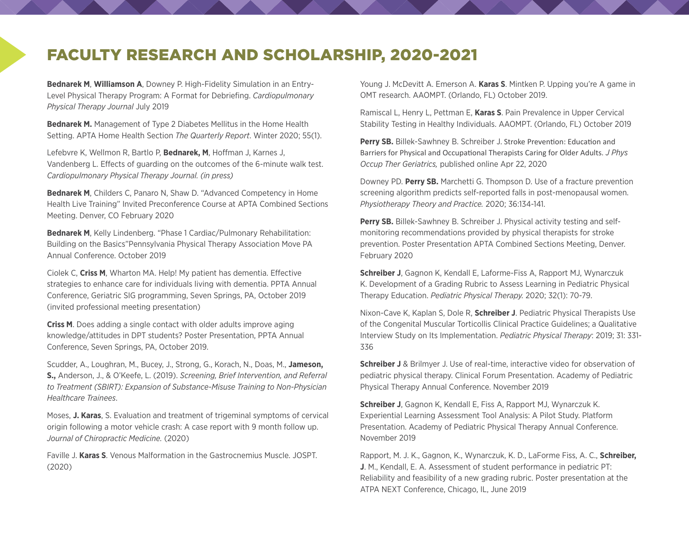## FACULTY RESEARCH AND SCHOLARSHIP, 2020-2021

**Bednarek M**, **Williamson A**, Downey P. High-Fidelity Simulation in an Entry-Level Physical Therapy Program: A Format for Debriefing. *Cardiopulmonary Physical Therapy Journal* July 2019

**Bednarek M.** Management of Type 2 Diabetes Mellitus in the Home Health Setting. APTA Home Health Section *The Quarterly Report*. Winter 2020; 55(1).

Lefebvre K, Wellmon R, Bartlo P, **Bednarek, M**, Hoffman J, Karnes J, Vandenberg L. Effects of guarding on the outcomes of the 6-minute walk test. *Cardiopulmonary Physical Therapy Journal. (in press)*

**Bednarek M**, Childers C, Panaro N, Shaw D. "Advanced Competency in Home Health Live Training" Invited Preconference Course at APTA Combined Sections Meeting. Denver, CO February 2020

**Bednarek M**, Kelly Lindenberg. "Phase 1 Cardiac/Pulmonary Rehabilitation: Building on the Basics"Pennsylvania Physical Therapy Association Move PA Annual Conference. October 2019

Ciolek C, **Criss M**, Wharton MA. Help! My patient has dementia. Effective strategies to enhance care for individuals living with dementia. PPTA Annual Conference, Geriatric SIG programming, Seven Springs, PA, October 2019 (invited professional meeting presentation)

**Criss M**. Does adding a single contact with older adults improve aging knowledge/attitudes in DPT students? Poster Presentation, PPTA Annual Conference, Seven Springs, PA, October 2019.

Scudder, A., Loughran, M., Bucey, J., Strong, G., Korach, N., Doas, M., **Jameson, S.,** Anderson, J., & O'Keefe, L. (2019). *Screening, Brief Intervention, and Referral to Treatment (SBIRT): Expansion of Substance-Misuse Training to Non-Physician Healthcare Trainees*.

Moses, **J. Karas**, S. Evaluation and treatment of trigeminal symptoms of cervical origin following a motor vehicle crash: A case report with 9 month follow up. *Journal of Chiropractic Medicine.* (2020)

Faville J. **Karas S**. Venous Malformation in the Gastrocnemius Muscle. JOSPT. (2020)

Young J. McDevitt A. Emerson A. **Karas S**. Mintken P. Upping you're A game in OMT research. AAOMPT. (Orlando, FL) October 2019.

Ramiscal L, Henry L, Pettman E, **Karas S**. Pain Prevalence in Upper Cervical Stability Testing in Healthy Individuals. AAOMPT. (Orlando, FL) October 2019

Perry SB. Billek-Sawhney B. Schreiber J. Stroke Prevention: Education and Barriers for Physical and Occupational Therapists Caring for Older Adults. *J Phys Occup Ther Geriatrics,* published online Apr 22, 2020

Downey PD. **Perry SB.** Marchetti G. Thompson D. Use of a fracture prevention screening algorithm predicts self-reported falls in post-menopausal women. *Physiotherapy Theory and Practice.* 2020; 36:134-141.

**Perry SB.** Billek-Sawhney B. Schreiber J. Physical activity testing and selfmonitoring recommendations provided by physical therapists for stroke prevention. Poster Presentation APTA Combined Sections Meeting, Denver. February 2020

**Schreiber J**, Gagnon K, Kendall E, Laforme-Fiss A, Rapport MJ, Wynarczuk K. Development of a Grading Rubric to Assess Learning in Pediatric Physical Therapy Education. *Pediatric Physical Therapy.* 2020; 32(1): 70-79.

Nixon-Cave K, Kaplan S, Dole R, **Schreiber J**. Pediatric Physical Therapists Use of the Congenital Muscular Torticollis Clinical Practice Guidelines; a Qualitative Interview Study on Its Implementation. *Pediatric Physical Therapy*: 2019; 31: 331- 336

**Schreiber J** & Brilmyer J. Use of real-time, interactive video for observation of pediatric physical therapy. Clinical Forum Presentation. Academy of Pediatric Physical Therapy Annual Conference. November 2019

**Schreiber J**, Gagnon K, Kendall E, Fiss A, Rapport MJ, Wynarczuk K. Experiential Learning Assessment Tool Analysis: A Pilot Study. Platform Presentation. Academy of Pediatric Physical Therapy Annual Conference. November 2019

Rapport, M. J. K., Gagnon, K., Wynarczuk, K. D., LaForme Fiss, A. C., **Schreiber, J**. M., Kendall, E. A. Assessment of student performance in pediatric PT: Reliability and feasibility of a new grading rubric. Poster presentation at the ATPA NEXT Conference, Chicago, IL, June 2019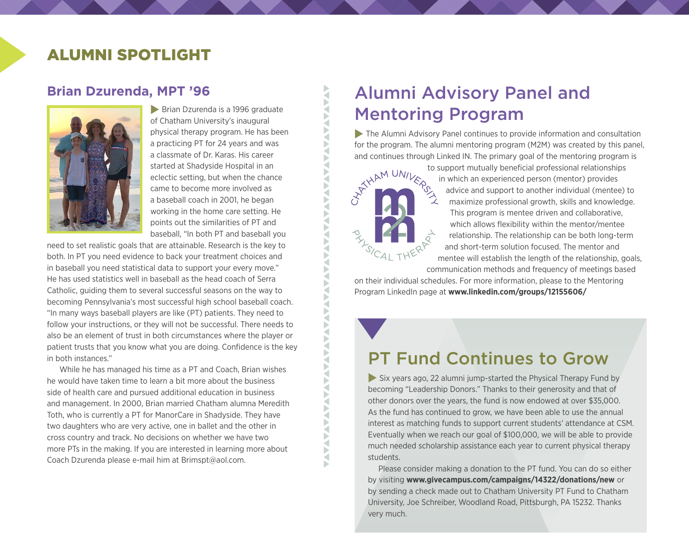## ALUMNI SPOTLIGHT

#### **Brian Dzurenda, MPT '96**



 $\blacktriangleright$  Brian Dzurenda is a 1996 graduate of Chatham University's inaugural physical therapy program. He has been a practicing PT for 24 years and was a classmate of Dr. Karas. His career started at Shadyside Hospital in an eclectic setting, but when the chance came to become more involved as a baseball coach in 2001, he began working in the home care setting. He points out the similarities of PT and baseball, "In both PT and baseball you

need to set realistic goals that are attainable. Research is the key to both. In PT you need evidence to back your treatment choices and in baseball you need statistical data to support your every move." He has used statistics well in baseball as the head coach of Serra Catholic, guiding them to several successful seasons on the way to becoming Pennsylvania's most successful high school baseball coach. "In many ways baseball players are like (PT) patients. They need to follow your instructions, or they will not be successful. There needs to also be an element of trust in both circumstances where the player or patient trusts that you know what you are doing. Confidence is the key in both instances."

 While he has managed his time as a PT and Coach, Brian wishes he would have taken time to learn a bit more about the business side of health care and pursued additional education in business and management. In 2000, Brian married Chatham alumna Meredith Toth, who is currently a PT for ManorCare in Shadyside. They have two daughters who are very active, one in ballet and the other in cross country and track. No decisions on whether we have two more PTs in the making. If you are interested in learning more about Coach Dzurenda please e-mail him at [Brimspt@aol.com](mailto:Brimspt@aol.com).

## Alumni Advisory Panel and Mentoring Program

 $\blacktriangleright$  The Alumni Advisory Panel continues to provide information and consultation for the program. The alumni mentoring program (M2M) was created by this panel,



**AVA** 

◀

₹ ь a

and continues through Linked IN. The primary goal of the mentoring program is<br>to support mutually beneficial professional relationships<br>in which an experienced person (mentor) provides<br>and support to another individual (m to support mutually beneficial professional relationships in which an experienced person (mentor) provides advice and support to another individual (mentee) to maximize professional growth, skills and knowledge. This program is mentee driven and collaborative, which allows flexibility within the mentor/mentee relationship. The relationship can be both long-term and short-term solution focused. The mentor and mentee will establish the length of the relationship, goals, communication methods and frequency of meetings based

on their individual schedules. For more information, please to the Mentoring Program LinkedIn page at **[www.linkedin.com/groups/12155606/](https://www.linkedin.com/groups/12155606/)**

PT Fund Continues to Grow

 $\blacktriangleright$  Six years ago, 22 alumni jump-started the Physical Therapy Fund by becoming "Leadership Donors." Thanks to their generosity and that of other donors over the years, the fund is now endowed at over \$35,000. As the fund has continued to grow, we have been able to use the annual interest as matching funds to support current students' attendance at CSM. Eventually when we reach our goal of \$100,000, we will be able to provide much needed scholarship assistance each year to current physical therapy students.

Please consider making a donation to the PT fund. You can do so either by visiting **[www.givecampus.com/campaigns/14322/donations/new](https://www.givecampus.com/campaigns/14322/donations/new)** or by sending a check made out to Chatham University PT Fund to Chatham University, Joe Schreiber, Woodland Road, Pittsburgh, PA 15232. Thanks very much.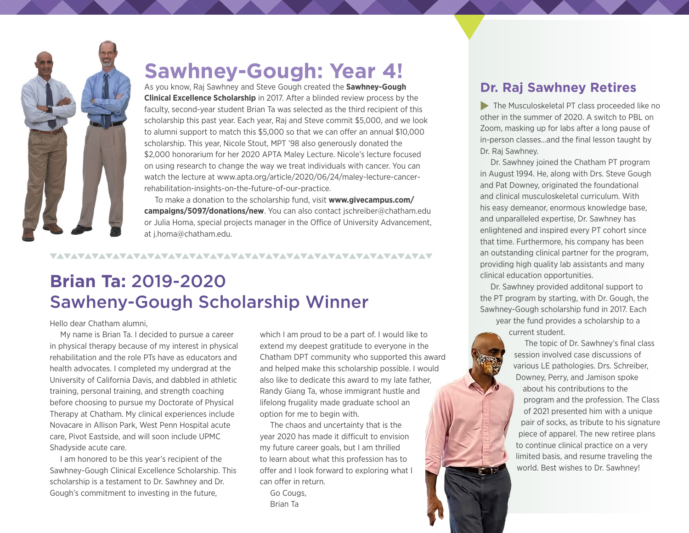

## **Sawhney-Gough: Year 4!**

As you know, Raj Sawhney and Steve Gough created the **Sawhney-Gough Clinical Excellence Scholarship** in 2017. After a blinded review process by the faculty, second-year student Brian Ta was selected as the third recipient of this scholarship this past year. Each year, Raj and Steve commit \$5,000, and we look to alumni support to match this \$5,000 so that we can offer an annual \$10,000 scholarship. This year, Nicole Stout, MPT '98 also generously donated the \$2,000 honorarium for her 2020 APTA Maley Lecture. Nicole's lecture focused on using research to change the way we treat individuals with cancer. You can watch the lecture at [www.apta.org/article/2020/06/24/maley-lecture-cancer](https://www.apta.org/article/2020/06/24/maley-lecture-cancer-rehabilitation-insights-on-the-future-of-our-practice)[rehabilitation-insights-on-the-future-of-our-practice](https://www.apta.org/article/2020/06/24/maley-lecture-cancer-rehabilitation-insights-on-the-future-of-our-practice).

To make a donation to the scholarship fund, visit **[www.givecampus.com/](https://www.givecampus.com/campaigns/5097/donations/new) [campaigns/5097/donations/new](https://www.givecampus.com/campaigns/5097/donations/new)**. You can also contact [jschreiber@chatham.edu](mailto:jschreiber@chatham.edu) or Julia Homa, special projects manager in the Office of University Advancement, at [j.homa@chatham.edu.](mailto:j.homa@chatham.edu)

#### 

## **Brian Ta:** 2019-2020 Sawheny-Gough Scholarship Winner

Hello dear Chatham alumni,

My name is Brian Ta. I decided to pursue a career in physical therapy because of my interest in physical rehabilitation and the role PTs have as educators and health advocates. I completed my undergrad at the University of California Davis, and dabbled in athletic training, personal training, and strength coaching before choosing to pursue my Doctorate of Physical Therapy at Chatham. My clinical experiences include Novacare in Allison Park, West Penn Hospital acute care, Pivot Eastside, and will soon include UPMC Shadyside acute care.

I am honored to be this year's recipient of the Sawhney-Gough Clinical Excellence Scholarship. This scholarship is a testament to Dr. Sawhney and Dr. Gough's commitment to investing in the future,

which I am proud to be a part of. I would like to extend my deepest gratitude to everyone in the Chatham DPT community who supported this award and helped make this scholarship possible. I would also like to dedicate this award to my late father, Randy Giang Ta, whose immigrant hustle and lifelong frugality made graduate school an option for me to begin with.

The chaos and uncertainty that is the year 2020 has made it difficult to envision my future career goals, but I am thrilled to learn about what this profession has to offer and I look forward to exploring what I can offer in return.

Go Cougs, Brian Ta

#### **Dr. Raj Sawhney Retires**

 $\blacktriangleright$  The Musculoskeletal PT class proceeded like no other in the summer of 2020. A switch to PBL on Zoom, masking up for labs after a long pause of in-person classes…and the final lesson taught by Dr. Raj Sawhney.

Dr. Sawhney joined the Chatham PT program in August 1994. He, along with Drs. Steve Gough and Pat Downey, originated the foundational and clinical musculoskeletal curriculum. With his easy demeanor, enormous knowledge base, and unparalleled expertise, Dr. Sawhney has enlightened and inspired every PT cohort since that time. Furthermore, his company has been an outstanding clinical partner for the program, providing high quality lab assistants and many clinical education opportunities.

Dr. Sawhney provided additonal support to the PT program by starting, with Dr. Gough, the Sawhney-Gough scholarship fund in 2017. Each year the fund provides a scholarship to a current student.

> The topic of Dr. Sawhney's final class session involved case discussions of various LE pathologies. Drs. Schreiber, Downey, Perry, and Jamison spoke about his contributions to the program and the profession. The Class of 2021 presented him with a unique pair of socks, as tribute to his signature piece of apparel. The new retiree plans to continue clinical practice on a very limited basis, and resume traveling the world. Best wishes to Dr. Sawhney!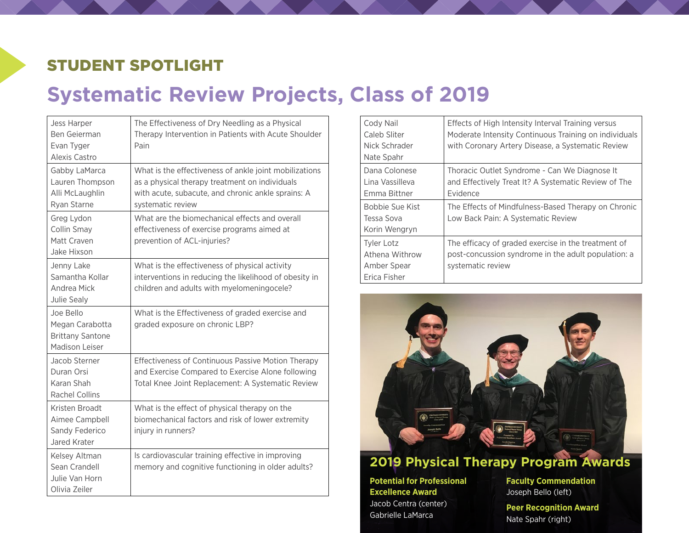## STUDENT SPOTLIGHT

# **Systematic Review Projects, Class of 2019**

| Jess Harper<br>Ben Geierman<br>Evan Tyger<br>Alexis Castro                       | The Effectiveness of Dry Needling as a Physical<br>Therapy Intervention in Patients with Acute Shoulder<br>Pain                                                                     |
|----------------------------------------------------------------------------------|-------------------------------------------------------------------------------------------------------------------------------------------------------------------------------------|
| Gabby LaMarca<br>Lauren Thompson<br>Alli McLaughlin<br>Ryan Starne               | What is the effectiveness of ankle joint mobilizations<br>as a physical therapy treatment on individuals<br>with acute, subacute, and chronic ankle sprains: A<br>systematic review |
| Greg Lydon<br>Collin Smay<br>Matt Craven<br>Jake Hixson                          | What are the biomechanical effects and overall<br>effectiveness of exercise programs aimed at<br>prevention of ACL-injuries?                                                        |
| Jenny Lake<br>Samantha Kollar<br>Andrea Mick<br>Julie Sealy                      | What is the effectiveness of physical activity<br>interventions in reducing the likelihood of obesity in<br>children and adults with myelomeningocele?                              |
| Joe Bello<br>Megan Carabotta<br><b>Brittany Santone</b><br><b>Madison Leiser</b> | What is the Effectiveness of graded exercise and<br>graded exposure on chronic LBP?                                                                                                 |
| Jacob Sterner<br>Duran Orsi<br>Karan Shah<br>Rachel Collins                      | <b>Effectiveness of Continuous Passive Motion Therapy</b><br>and Exercise Compared to Exercise Alone following<br>Total Knee Joint Replacement: A Systematic Review                 |
| Kristen Broadt<br>Aimee Campbell<br>Sandy Federico<br>Jared Krater               | What is the effect of physical therapy on the<br>biomechanical factors and risk of lower extremity<br>injury in runners?                                                            |
| Kelsey Altman<br>Sean Crandell<br>Julie Van Horn<br>Olivia Zeiler                | Is cardiovascular training effective in improving<br>memory and cognitive functioning in older adults?                                                                              |

| Cody Nail<br>Caleb Sliter<br>Nick Schrader<br>Nate Spahr           | Effects of High Intensity Interval Training versus<br>Moderate Intensity Continuous Training on individuals<br>with Coronary Artery Disease, a Systematic Review |
|--------------------------------------------------------------------|------------------------------------------------------------------------------------------------------------------------------------------------------------------|
| Dana Colonese<br>Lina Vassilleva<br>Emma Bittner                   | Thoracic Outlet Syndrome - Can We Diagnose It<br>and Effectively Treat It? A Systematic Review of The<br>Evidence                                                |
| Bobbie Sue Kist<br>Tessa Sova<br>Korin Wengryn                     | The Effects of Mindfulness-Based Therapy on Chronic<br>Low Back Pain: A Systematic Review                                                                        |
| <b>Tyler Lotz</b><br>Athena Withrow<br>Amber Spear<br>Erica Fisher | The efficacy of graded exercise in the treatment of<br>post-concussion syndrome in the adult population: a<br>systematic review                                  |



#### **2019 Physical Therapy Program Awards**

**Potential for Professional Excellence Award** Jacob Centra (center) Gabrielle LaMarca

**Faculty Commendation** Joseph Bello (left)

**Peer Recognition Award** Nate Spahr (right)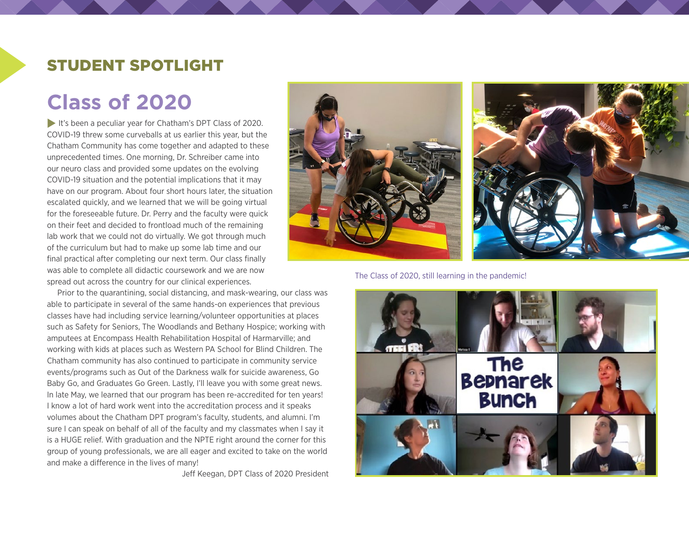## STUDENT SPOTLIGHT

# **Class of 2020**

It's been a peculiar year for Chatham's DPT Class of 2020. COVID-19 threw some curveballs at us earlier this year, but the Chatham Community has come together and adapted to these unprecedented times. One morning, Dr. Schreiber came into our neuro class and provided some updates on the evolving COVID-19 situation and the potential implications that it may have on our program. About four short hours later, the situation escalated quickly, and we learned that we will be going virtual for the foreseeable future. Dr. Perry and the faculty were quick on their feet and decided to frontload much of the remaining lab work that we could not do virtually. We got through much of the curriculum but had to make up some lab time and our final practical after completing our next term. Our class finally was able to complete all didactic coursework and we are now spread out across the country for our clinical experiences.

Prior to the quarantining, social distancing, and mask-wearing, our class was able to participate in several of the same hands-on experiences that previous classes have had including service learning/volunteer opportunities at places such as Safety for Seniors, The Woodlands and Bethany Hospice; working with amputees at Encompass Health Rehabilitation Hospital of Harmarville; and working with kids at places such as Western PA School for Blind Children. The Chatham community has also continued to participate in community service events/programs such as Out of the Darkness walk for suicide awareness, Go Baby Go, and Graduates Go Green. Lastly, I'll leave you with some great news. In late May, we learned that our program has been re-accredited for ten years! I know a lot of hard work went into the accreditation process and it speaks volumes about the Chatham DPT program's faculty, students, and alumni. I'm sure I can speak on behalf of all of the faculty and my classmates when I say it is a HUGE relief. With graduation and the NPTE right around the corner for this group of young professionals, we are all eager and excited to take on the world and make a difference in the lives of many!

Jeff Keegan, DPT Class of 2020 President



The Class of 2020, still learning in the pandemic!

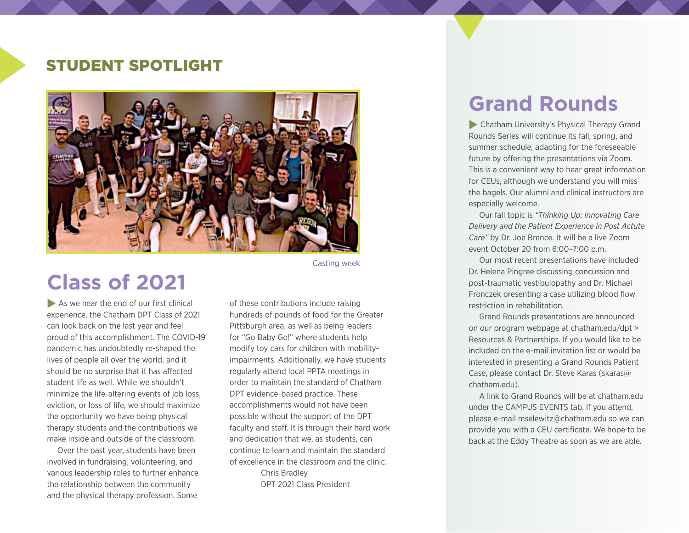### STUDENT SPOTLIGHT



# **Class of 2021**

 $\blacktriangleright$  As we near the end of our first clinical experience, the Chatham DPT Class of 2021 can look back on the last year and feel proud of this accomplishment. The COVID-19 pandemic has undoubtedly re-shaped the lives of people all over the world, and it should be no surprise that it has affected student life as well. While we shouldn't minimize the life-altering events of job loss, eviction, or loss of life, we should maximize the opportunity we have being physical therapy students and the contributions we make inside and outside of the classroom.

Over the past year, students have been involved in fundraising, volunteering, and various leadership roles to further enhance the relationship between the community and the physical therapy profession. Some

Casting week

of these contributions include raising hundreds of pounds of food for the Greater Pittsburgh area, as well as being leaders for "Go Baby Go!" where students help modify toy cars for children with mobilityimpairments. Additionally, we have students regularly attend local PPTA meetings in order to maintain the standard of Chatham DPT evidence-based practice. These accomplishments would not have been possible without the support of the DPT faculty and staff. It is through their hard work and dedication that we, as students, can continue to learn and maintain the standard of excellence in the classroom and the clinic. Chris Bradley DPT 2021 Class President

# **Grand Rounds**

**Chatham University's Physical Therapy Grand** Rounds Series will continue its fall, spring, and summer schedule, adapting for the foreseeable future by offering the presentations via Zoom. This is a convenient way to hear great information for CEUs, although we understand you will miss the bagels. Our alumni and clinical instructors are especially welcome.

Our fall topic is *"Thinking Up: Innovating Care Delivery and the Patient Experience in Post Actute Care"* by Dr. Joe Brence. It will be a live Zoom event October 20 from 6:00–7:00 p.m.

Our most recent presentations have included Dr. Helena Pingree discussing concussion and post-traumatic vestibulopathy and Dr. Michael Fronczek presenting a case utilizing blood flow restriction in rehabilitation.

Grand Rounds presentations are announced on our program webpage at [chatham.edu/](https://chatham.edu/academics/graduate/physical-therapy/resources-for-partners.html)dpt > Resources & Partnerships. If you would like to be included on the e-mail invitation list or would be interested in presenting a Grand Rounds Patient Case, please contact Dr. Steve Karas ([skaras@](mailto:skaras@chatham.edu) [chatham.edu\)](mailto:skaras@chatham.edu).

A link to Grand Rounds will be at chatham.edu under the CAMPUS EVENTS tab. If you attend, please e-mail [mselewitz@chatham.edu](mailto:mselewitz@chatham.edu) so we can provide you with a CEU certificate. We hope to be back at the Eddy Theatre as soon as we are able.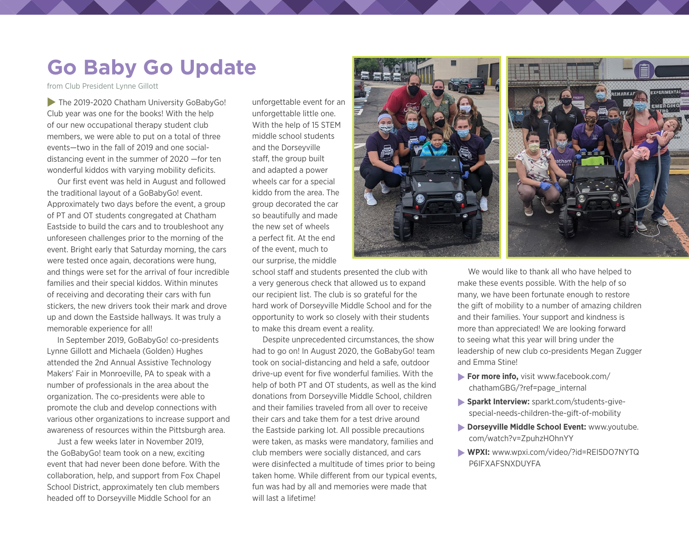# **Go Baby Go Update**

from Club President Lynne Gillott

 $\blacktriangleright$  The 2019-2020 Chatham University GoBabyGo! Club year was one for the books! With the help of our new occupational therapy student club members, we were able to put on a total of three events—two in the fall of 2019 and one socialdistancing event in the summer of 2020 —for ten wonderful kiddos with varying mobility deficits.

Our first event was held in August and followed the traditional layout of a GoBabyGo! event. Approximately two days before the event, a group of PT and OT students congregated at Chatham Eastside to build the cars and to troubleshoot any unforeseen challenges prior to the morning of the event. Bright early that Saturday morning, the cars were tested once again, decorations were hung, and things were set for the arrival of four incredible families and their special kiddos. Within minutes of receiving and decorating their cars with fun stickers, the new drivers took their mark and drove up and down the Eastside hallways. It was truly a memorable experience for all!

In September 2019, GoBabyGo! co-presidents Lynne Gillott and Michaela (Golden) Hughes attended the 2nd Annual Assistive Technology Makers' Fair in Monroeville, PA to speak with a number of professionals in the area about the organization. The co-presidents were able to promote the club and develop connections with various other organizations to increase support and awareness of resources within the Pittsburgh area.

Just a few weeks later in November 2019, the GoBabyGo! team took on a new, exciting event that had never been done before. With the collaboration, help, and support from Fox Chapel School District, approximately ten club members headed off to Dorseyville Middle School for an

unforgettable event for an unforgettable little one. With the help of 15 STEM middle school students and the Dorseyville staff, the group built and adapted a power wheels car for a special kiddo from the area. The group decorated the car so beautifully and made the new set of wheels a perfect fit. At the end of the event, much to our surprise, the middle



school staff and students presented the club with a very generous check that allowed us to expand our recipient list. The club is so grateful for the hard work of Dorseyville Middle School and for the opportunity to work so closely with their students to make this dream event a reality.

Despite unprecedented circumstances, the show had to go on! In August 2020, the GoBabyGo! team took on social-distancing and held a safe, outdoor drive-up event for five wonderful families. With the help of both PT and OT students, as well as the kind donations from Dorseyville Middle School, children and their families traveled from all over to receive their cars and take them for a test drive around the Eastside parking lot. All possible precautions were taken, as masks were mandatory, families and club members were socially distanced, and cars were disinfected a multitude of times prior to being taken home. While different from our typical events, fun was had by all and memories were made that will last a lifetime!

We would like to thank all who have helped to make these events possible. With the help of so many, we have been fortunate enough to restore the gift of mobility to a number of amazing children and their families. Your support and kindness is more than appreciated! We are looking forward to seeing what this year will bring under the leadership of new club co-presidents Megan Zugger and Emma Stine!

- **For more info,** visit [www.facebook.com/](https://www.facebook.com/chathamGBG/?ref=page_internal) [chathamGBG/?ref=page\\_internal](https://www.facebook.com/chathamGBG/?ref=page_internal)
- **Sparkt Interview:** [sparkt.com/students-give](https://sparkt.com/students-give-special-needs-children-the-gift-of-mobility)[special-needs-children-the-gift-of-mobility](https://sparkt.com/students-give-special-needs-children-the-gift-of-mobility)
- **Porseyville Middle School Event: [www.youtube.](https://www.youtube.com/watch?v=ZpuhzHOhnYY)** [com/watch?v=ZpuhzHOhnYY](https://www.youtube.com/watch?v=ZpuhzHOhnYY)
- r**WPXI:** [www.wpxi.com/video/?id=REI5DO7NYTQ](http://www.wpxi.com/video/?id=REI5DO7NYTQP6IFXAFSNXDUYFA) [P6IFXAFSNXDUYFA](http://www.wpxi.com/video/?id=REI5DO7NYTQP6IFXAFSNXDUYFA)